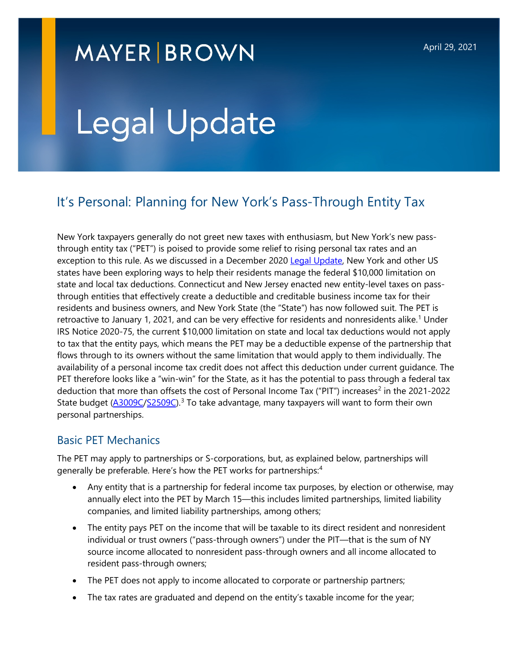# **MAYER BROWN**

# Legal Update

# It's Personal: Planning for New York's Pass-Through Entity Tax

New York taxpayers generally do not greet new taxes with enthusiasm, but New York's new passthrough entity tax ("PET") is poised to provide some relief to rising personal tax rates and an exception to this rule. As we discussed in a December 2020 [Legal Update,](https://www.mayerbrown.com/en/perspectives-events/publications/2020/12/back-in-the-game-new-york-state-considers-pass-through-entity-tax) New York and other US states have been exploring ways to help their residents manage the federal \$10,000 limitation on state and local tax deductions. Connecticut and New Jersey enacted new entity-level taxes on passthrough entities that effectively create a deductible and creditable business income tax for their residents and business owners, and New York State (the "State") has now followed suit. The PET is retroactive to January [1](#page-6-0), 2021, and can be very effective for residents and nonresidents alike.<sup>1</sup> Under IRS Notice 2020-75, the current \$10,000 limitation on state and local tax deductions would not apply to tax that the entity pays, which means the PET may be a deductible expense of the partnership that flows through to its owners without the same limitation that would apply to them individually. The availability of a personal income tax credit does not affect this deduction under current guidance. The PET therefore looks like a "win-win" for the State, as it has the potential to pass through a federal tax deduction that more than offsets the cost of Personal Income Tax ("PIT") increases<sup>[2](#page-6-1)</sup> in the 2021-2022 State budget [\(A3009C](https://nyassembly.gov/leg/?default_fld=&leg_video=&bn=A03009&term=&Summary=Y&Actions=Y&Memo=Y&Text=Y)[/S2509C\)](https://nyassembly.gov/leg/?term=2021&bn=S02509).<sup>[3](#page-6-2)</sup> To take advantage, many taxpayers will want to form their own personal partnerships.

#### Basic PET Mechanics

The PET may apply to partnerships or S-corporations, but, as explained below, partnerships will generally be preferable. Here's how the PET works for partnerships:<sup>[4](#page-6-3)</sup>

- Any entity that is a partnership for federal income tax purposes, by election or otherwise, may annually elect into the PET by March 15—this includes limited partnerships, limited liability companies, and limited liability partnerships, among others;
- The entity pays PET on the income that will be taxable to its direct resident and nonresident individual or trust owners ("pass-through owners") under the PIT—that is the sum of NY source income allocated to nonresident pass-through owners and all income allocated to resident pass-through owners;
- The PET does not apply to income allocated to corporate or partnership partners;
- The tax rates are graduated and depend on the entity's taxable income for the year;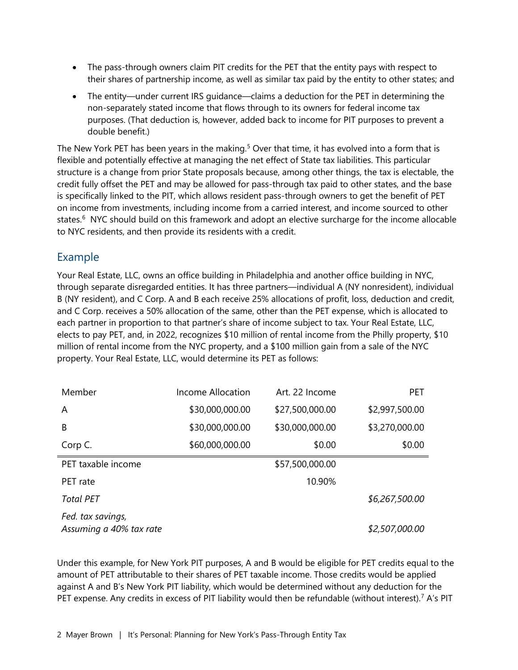- The pass-through owners claim PIT credits for the PET that the entity pays with respect to their shares of partnership income, as well as similar tax paid by the entity to other states; and
- The entity—under current IRS guidance—claims a deduction for the PET in determining the non-separately stated income that flows through to its owners for federal income tax purposes. (That deduction is, however, added back to income for PIT purposes to prevent a double benefit.)

The New York PET has been years in the making.<sup>[5](#page-6-4)</sup> Over that time, it has evolved into a form that is flexible and potentially effective at managing the net effect of State tax liabilities. This particular structure is a change from prior State proposals because, among other things, the tax is electable, the credit fully offset the PET and may be allowed for pass-through tax paid to other states, and the base is specifically linked to the PIT, which allows resident pass-through owners to get the benefit of PET on income from investments, including income from a carried interest, and income sourced to other states.<sup>[6](#page-6-5)</sup> NYC should build on this framework and adopt an elective surcharge for the income allocable to NYC residents, and then provide its residents with a credit.

## Example

Your Real Estate, LLC, owns an office building in Philadelphia and another office building in NYC, through separate disregarded entities. It has three partners—individual A (NY nonresident), individual B (NY resident), and C Corp. A and B each receive 25% allocations of profit, loss, deduction and credit, and C Corp. receives a 50% allocation of the same, other than the PET expense, which is allocated to each partner in proportion to that partner's share of income subject to tax. Your Real Estate, LLC, elects to pay PET, and, in 2022, recognizes \$10 million of rental income from the Philly property, \$10 million of rental income from the NYC property, and a \$100 million gain from a sale of the NYC property. Your Real Estate, LLC, would determine its PET as follows:

| Member                                       | Income Allocation | Art. 22 Income  | <b>PET</b>     |
|----------------------------------------------|-------------------|-----------------|----------------|
| A                                            | \$30,000,000.00   | \$27,500,000.00 | \$2,997,500.00 |
| B                                            | \$30,000,000.00   | \$30,000,000.00 | \$3,270,000.00 |
| Corp C.                                      | \$60,000,000.00   | \$0.00          | \$0.00         |
| PET taxable income                           |                   | \$57,500,000.00 |                |
| PET rate                                     |                   | 10.90%          |                |
| <b>Total PET</b>                             |                   |                 | \$6,267,500.00 |
| Fed. tax savings,<br>Assuming a 40% tax rate |                   |                 | \$2,507,000.00 |

Under this example, for New York PIT purposes, A and B would be eligible for PET credits equal to the amount of PET attributable to their shares of PET taxable income. Those credits would be applied against A and B's New York PIT liability, which would be determined without any deduction for the PET expense. Any credits in excess of PIT liability would then be refundable (without interest).<sup>[7](#page-6-6)</sup> A's PIT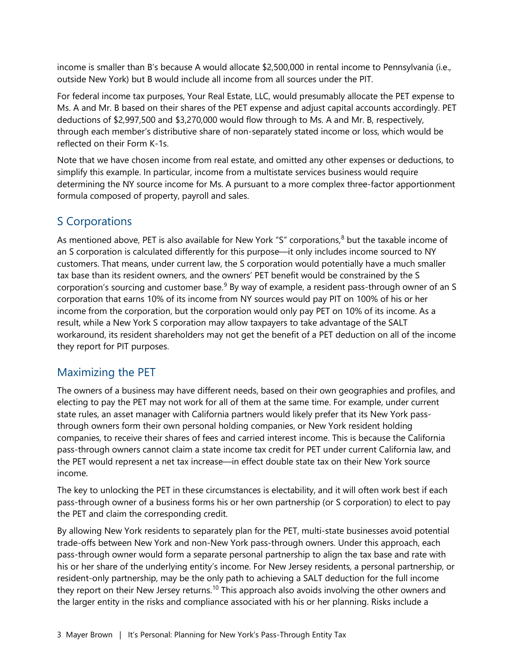income is smaller than B's because A would allocate \$2,500,000 in rental income to Pennsylvania (i.e., outside New York) but B would include all income from all sources under the PIT.

For federal income tax purposes, Your Real Estate, LLC, would presumably allocate the PET expense to Ms. A and Mr. B based on their shares of the PET expense and adjust capital accounts accordingly. PET deductions of \$2,997,500 and \$3,270,000 would flow through to Ms. A and Mr. B, respectively, through each member's distributive share of non-separately stated income or loss, which would be reflected on their Form K-1s.

Note that we have chosen income from real estate, and omitted any other expenses or deductions, to simplify this example. In particular, income from a multistate services business would require determining the NY source income for Ms. A pursuant to a more complex three-factor apportionment formula composed of property, payroll and sales.

# S Corporations

As mentioned above, PET is also available for New York "S" corporations, $8$  but the taxable income of an S corporation is calculated differently for this purpose—it only includes income sourced to NY customers. That means, under current law, the S corporation would potentially have a much smaller tax base than its resident owners, and the owners' PET benefit would be constrained by the S corporation's sourcing and customer base. $9$  By way of example, a resident pass-through owner of an S corporation that earns 10% of its income from NY sources would pay PIT on 100% of his or her income from the corporation, but the corporation would only pay PET on 10% of its income. As a result, while a New York S corporation may allow taxpayers to take advantage of the SALT workaround, its resident shareholders may not get the benefit of a PET deduction on all of the income they report for PIT purposes.

# Maximizing the PET

The owners of a business may have different needs, based on their own geographies and profiles, and electing to pay the PET may not work for all of them at the same time. For example, under current state rules, an asset manager with California partners would likely prefer that its New York passthrough owners form their own personal holding companies, or New York resident holding companies, to receive their shares of fees and carried interest income. This is because the California pass-through owners cannot claim a state income tax credit for PET under current California law, and the PET would represent a net tax increase—in effect double state tax on their New York source income.

The key to unlocking the PET in these circumstances is electability, and it will often work best if each pass-through owner of a business forms his or her own partnership (or S corporation) to elect to pay the PET and claim the corresponding credit.

By allowing New York residents to separately plan for the PET, multi-state businesses avoid potential trade-offs between New York and non-New York pass-through owners. Under this approach, each pass-through owner would form a separate personal partnership to align the tax base and rate with his or her share of the underlying entity's income. For New Jersey residents, a personal partnership, or resident-only partnership, may be the only path to achieving a SALT deduction for the full income they report on their New Jersey returns.<sup>[10](#page-6-9)</sup> This approach also avoids involving the other owners and the larger entity in the risks and compliance associated with his or her planning. Risks include a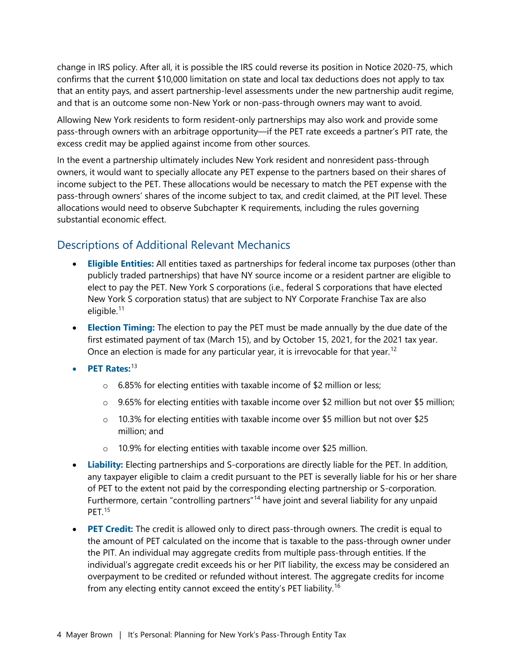change in IRS policy. After all, it is possible the IRS could reverse its position in Notice 2020-75, which confirms that the current \$10,000 limitation on state and local tax deductions does not apply to tax that an entity pays, and assert partnership-level assessments under the new partnership audit regime, and that is an outcome some non-New York or non-pass-through owners may want to avoid.

Allowing New York residents to form resident-only partnerships may also work and provide some pass-through owners with an arbitrage opportunity—if the PET rate exceeds a partner's PIT rate, the excess credit may be applied against income from other sources.

In the event a partnership ultimately includes New York resident and nonresident pass-through owners, it would want to specially allocate any PET expense to the partners based on their shares of income subject to the PET. These allocations would be necessary to match the PET expense with the pass-through owners' shares of the income subject to tax, and credit claimed, at the PIT level. These allocations would need to observe Subchapter K requirements, including the rules governing substantial economic effect.

# Descriptions of Additional Relevant Mechanics

- **Eligible Entities:** All entities taxed as partnerships for federal income tax purposes (other than publicly traded partnerships) that have NY source income or a resident partner are eligible to elect to pay the PET. New York S corporations (i.e., federal S corporations that have elected New York S corporation status) that are subject to NY Corporate Franchise Tax are also eligible.<sup>[11](#page-6-10)</sup>
- **Election Timing:** The election to pay the PET must be made annually by the due date of the first estimated payment of tax (March 15), and by October 15, 2021, for the 2021 tax year. Once an election is made for any particular year, it is irrevocable for that year.<sup>[12](#page-6-11)</sup>
- **PET Rates:**[13](#page-6-12)
	- $\circ$  6.85% for electing entities with taxable income of \$2 million or less;
	- $\circ$  9.65% for electing entities with taxable income over \$2 million but not over \$5 million;
	- $\circ$  10.3% for electing entities with taxable income over \$5 million but not over \$25 million; and
	- o 10.9% for electing entities with taxable income over \$25 million.
- **Liability:** Electing partnerships and S-corporations are directly liable for the PET. In addition, any taxpayer eligible to claim a credit pursuant to the PET is severally liable for his or her share of PET to the extent not paid by the corresponding electing partnership or S-corporation. Furthermore, certain "controlling partners"<sup>[14](#page-6-13)</sup> have joint and several liability for any unpaid PFT<sup>[15](#page-6-14)</sup>
- **PET Credit:** The credit is allowed only to direct pass-through owners. The credit is equal to the amount of PET calculated on the income that is taxable to the pass-through owner under the PIT. An individual may aggregate credits from multiple pass-through entities. If the individual's aggregate credit exceeds his or her PIT liability, the excess may be considered an overpayment to be credited or refunded without interest. The aggregate credits for income from any electing entity cannot exceed the entity's PET liability.<sup>[16](#page-6-0)</sup>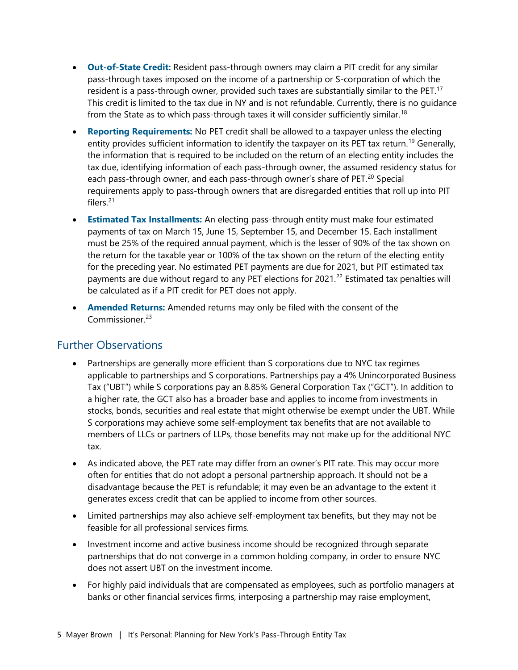- **Out-of-State Credit:** Resident pass-through owners may claim a PIT credit for any similar pass-through taxes imposed on the income of a partnership or S-corporation of which the resident is a pass-through owner, provided such taxes are substantially similar to the PET.<sup>[17](#page-6-15)</sup> This credit is limited to the tax due in NY and is not refundable. Currently, there is no guidance from the State as to which pass-through taxes it will consider sufficiently similar.<sup>[18](#page-6-16)</sup>
- **Reporting Requirements:** No PET credit shall be allowed to a taxpayer unless the electing entity provides sufficient information to identify the taxpayer on its PET tax return.<sup>[19](#page-6-17)</sup> Generally, the information that is required to be included on the return of an electing entity includes the tax due, identifying information of each pass-through owner, the assumed residency status for each pass-through owner, and each pass-through owner's share of PET.<sup>[20](#page-6-1)</sup> Special requirements apply to pass-through owners that are disregarded entities that roll up into PIT filers<sup>[21](#page-6-18)</sup>
- **Estimated Tax Installments:** An electing pass-through entity must make four estimated payments of tax on March 15, June 15, September 15, and December 15. Each installment must be 25% of the required annual payment, which is the lesser of 90% of the tax shown on the return for the taxable year or 100% of the tax shown on the return of the electing entity for the preceding year. No estimated PET payments are due for 2021, but PIT estimated tax payments are due without regard to any PET elections for 2021.<sup>[22](#page-6-19)</sup> Estimated tax penalties will be calculated as if a PIT credit for PET does not apply.
- **Amended Returns:** Amended returns may only be filed with the consent of the Commissioner<sup>[23](#page-6-20)</sup>

## Further Observations

- Partnerships are generally more efficient than S corporations due to NYC tax regimes applicable to partnerships and S corporations. Partnerships pay a 4% Unincorporated Business Tax ("UBT") while S corporations pay an 8.85% General Corporation Tax ("GCT"). In addition to a higher rate, the GCT also has a broader base and applies to income from investments in stocks, bonds, securities and real estate that might otherwise be exempt under the UBT. While S corporations may achieve some self-employment tax benefits that are not available to members of LLCs or partners of LLPs, those benefits may not make up for the additional NYC tax.
- As indicated above, the PET rate may differ from an owner's PIT rate. This may occur more often for entities that do not adopt a personal partnership approach. It should not be a disadvantage because the PET is refundable; it may even be an advantage to the extent it generates excess credit that can be applied to income from other sources.
- Limited partnerships may also achieve self-employment tax benefits, but they may not be feasible for all professional services firms.
- Investment income and active business income should be recognized through separate partnerships that do not converge in a common holding company, in order to ensure NYC does not assert UBT on the investment income.
- For highly paid individuals that are compensated as employees, such as portfolio managers at banks or other financial services firms, interposing a partnership may raise employment,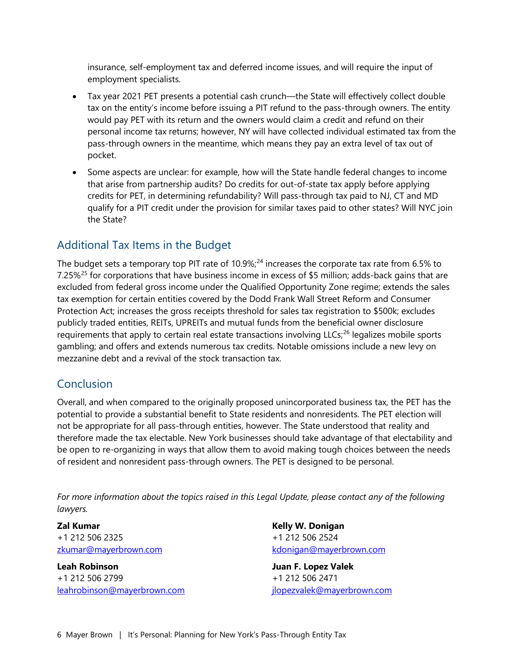insurance, self-employment tax and deferred income issues, and will require the input of employment specialists.

- Tax year 2021 PET presents a potential cash crunch—the State will effectively collect double tax on the entity's income before issuing a PIT refund to the pass-through owners. The entity would pay PET with its return and the owners would claim a credit and refund on their personal income tax returns; however, NY will have collected individual estimated tax from the pass-through owners in the meantime, which means they pay an extra level of tax out of pocket.
- Some aspects are unclear: for example, how will the State handle federal changes to income that arise from partnership audits? Do credits for out-of-state tax apply before applying credits for PET, in determining refundability? Will pass-through tax paid to NJ, CT and MD qualify for a PIT credit under the provision for similar taxes paid to other states? Will NYC join the State?

## Additional Tax Items in the Budget

The budget sets a temporary top PIT rate of 10.9%;<sup>[24](#page-6-21)</sup> increases the corporate tax rate from 6.5% to 7.[25](#page-6-22)%<sup>25</sup> for corporations that have business income in excess of \$5 million; adds-back gains that are excluded from federal gross income under the Qualified Opportunity Zone regime; extends the sales tax exemption for certain entities covered by the Dodd Frank Wall Street Reform and Consumer Protection Act; increases the gross receipts threshold for sales tax registration to \$500k; excludes publicly traded entities, REITs, UPREITs and mutual funds from the beneficial owner disclosure requirements that apply to certain real estate transactions involving LLCs;<sup>[26](#page-6-23)</sup> legalizes mobile sports gambling; and offers and extends numerous tax credits. Notable omissions include a new levy on mezzanine debt and a revival of the stock transaction tax.

#### Conclusion

Overall, and when compared to the originally proposed unincorporated business tax, the PET has the potential to provide a substantial benefit to State residents and nonresidents. The PET election will not be appropriate for all pass-through entities, however. The State understood that reality and therefore made the tax electable. New York businesses should take advantage of that electability and be open to re-organizing in ways that allow them to avoid making tough choices between the needs of resident and nonresident pass-through owners. The PET is designed to be personal.

*For more information about the topics raised in this Legal Update, please contact any of the following lawyers.*

**Zal Kumar** +1 212 506 2325 [zkumar@mayerbrown.com](mailto:zkumar@mayerbrown.com)

**Leah Robinson** +1 212 506 2799 [leahrobinson@mayerbrown.com](mailto:leahrobinson@mayerbrown.com) **Kelly W. Donigan** +1 212 506 2524 [kdonigan@mayerbrown.com](mailto:kdonigan@mayerbrown.com)

**Juan F. Lopez Valek** +1 212 506 2471 [jlopezvalek@mayerbrown.com](mailto:jlopezvalek@mayerbrown.com)